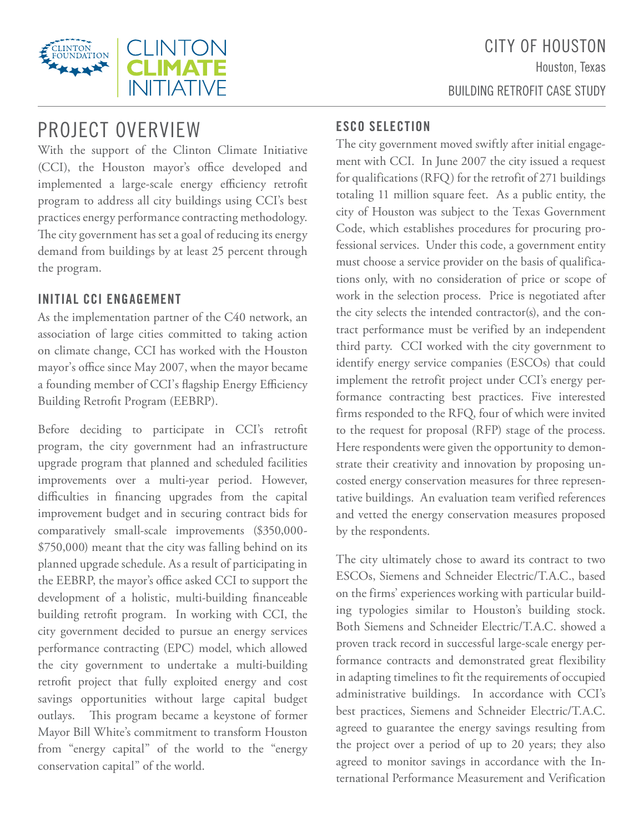BUILDING RETROFIT CASE STUDY



# PROJECT OVERVIEW

With the support of the Clinton Climate Initiative (CCI), the Houston mayor's office developed and implemented a large-scale energy efficiency retrofit program to address all city buildings using CCI's best practices energy performance contracting methodology. The city government has set a goal of reducing its energy demand from buildings by at least 25 percent through the program.

# **INITIAL CCI ENGAGEMENT**

As the implementation partner of the C40 network, an association of large cities committed to taking action on climate change, CCI has worked with the Houston mayor's office since May 2007, when the mayor became a founding member of CCI's flagship Energy Efficiency Building Retrofit Program (EEBRP).

Before deciding to participate in CCI's retrofit program, the city government had an infrastructure upgrade program that planned and scheduled facilities improvements over a multi-year period. However, difficulties in financing upgrades from the capital improvement budget and in securing contract bids for comparatively small-scale improvements (\$350,000- \$750,000) meant that the city was falling behind on its planned upgrade schedule. As a result of participating in the EEBRP, the mayor's office asked CCI to support the development of a holistic, multi-building financeable building retrofit program. In working with CCI, the city government decided to pursue an energy services performance contracting (EPC) model, which allowed the city government to undertake a multi-building retrofit project that fully exploited energy and cost savings opportunities without large capital budget outlays. This program became a keystone of former Mayor Bill White's commitment to transform Houston from "energy capital" of the world to the "energy conservation capital" of the world.

# **ESCO SELECTION**

The city government moved swiftly after initial engagement with CCI. In June 2007 the city issued a request for qualifications (RFQ) for the retrofit of 271 buildings totaling 11 million square feet. As a public entity, the city of Houston was subject to the Texas Government Code, which establishes procedures for procuring professional services. Under this code, a government entity must choose a service provider on the basis of qualifications only, with no consideration of price or scope of work in the selection process. Price is negotiated after the city selects the intended contractor(s), and the contract performance must be verified by an independent third party. CCI worked with the city government to identify energy service companies (ESCOs) that could implement the retrofit project under CCI's energy performance contracting best practices. Five interested firms responded to the RFQ, four of which were invited to the request for proposal (RFP) stage of the process. Here respondents were given the opportunity to demonstrate their creativity and innovation by proposing uncosted energy conservation measures for three representative buildings. An evaluation team verified references and vetted the energy conservation measures proposed by the respondents.

The city ultimately chose to award its contract to two ESCOs, Siemens and Schneider Electric/T.A.C., based on the firms' experiences working with particular building typologies similar to Houston's building stock. Both Siemens and Schneider Electric/T.A.C. showed a proven track record in successful large-scale energy performance contracts and demonstrated great flexibility in adapting timelines to fit the requirements of occupied administrative buildings. In accordance with CCI's best practices, Siemens and Schneider Electric/T.A.C. agreed to guarantee the energy savings resulting from the project over a period of up to 20 years; they also agreed to monitor savings in accordance with the International Performance Measurement and Verification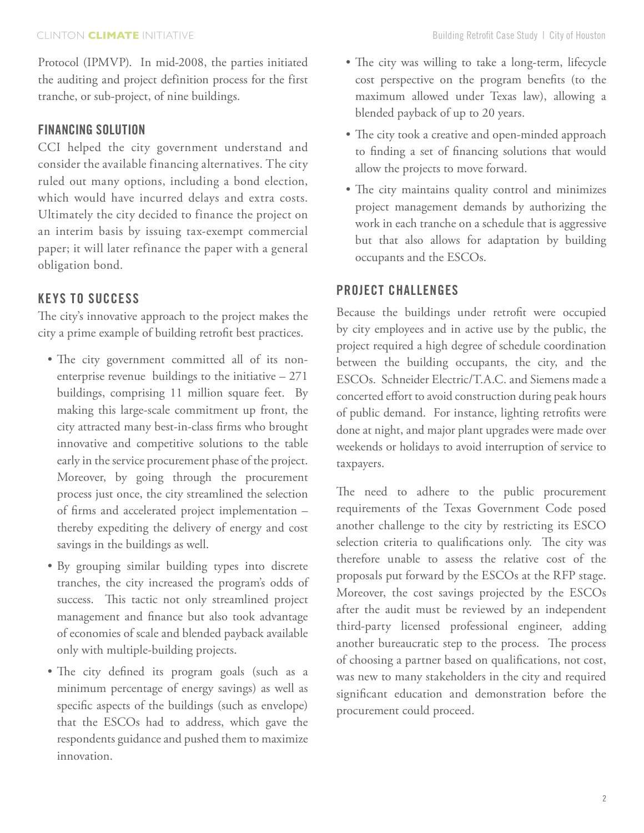Protocol (IPMVP). In mid-2008, the parties initiated the auditing and project definition process for the first tranche, or sub-project, of nine buildings.

# **financing solution**

CCI helped the city government understand and consider the available financing alternatives. The city ruled out many options, including a bond election, which would have incurred delays and extra costs. Ultimately the city decided to finance the project on an interim basis by issuing tax-exempt commercial paper; it will later refinance the paper with a general obligation bond.

# **keys to success**

The city's innovative approach to the project makes the city a prime example of building retrofit best practices.

- • The city government committed all of its nonenterprise revenue buildings to the initiative – 271 buildings, comprising 11 million square feet. By making this large-scale commitment up front, the city attracted many best-in-class firms who brought innovative and competitive solutions to the table early in the service procurement phase of the project. Moreover, by going through the procurement process just once, the city streamlined the selection of firms and accelerated project implementation – thereby expediting the delivery of energy and cost savings in the buildings as well.
- • By grouping similar building types into discrete tranches, the city increased the program's odds of success. This tactic not only streamlined project management and finance but also took advantage of economies of scale and blended payback available only with multiple-building projects.
- The city defined its program goals (such as a minimum percentage of energy savings) as well as specific aspects of the buildings (such as envelope) that the ESCOs had to address, which gave the respondents guidance and pushed them to maximize innovation.
- • The city was willing to take a long-term, lifecycle cost perspective on the program benefits (to the maximum allowed under Texas law), allowing a blended payback of up to 20 years.
- • The city took a creative and open-minded approach to finding a set of financing solutions that would allow the projects to move forward.
- The city maintains quality control and minimizes project management demands by authorizing the work in each tranche on a schedule that is aggressive but that also allows for adaptation by building occupants and the ESCOs.

# **project challenges**

Because the buildings under retrofit were occupied by city employees and in active use by the public, the project required a high degree of schedule coordination between the building occupants, the city, and the ESCOs. Schneider Electric/T.A.C. and Siemens made a concerted effort to avoid construction during peak hours of public demand. For instance, lighting retrofits were done at night, and major plant upgrades were made over weekends or holidays to avoid interruption of service to taxpayers.

The need to adhere to the public procurement requirements of the Texas Government Code posed another challenge to the city by restricting its ESCO selection criteria to qualifications only. The city was therefore unable to assess the relative cost of the proposals put forward by the ESCOs at the RFP stage. Moreover, the cost savings projected by the ESCOs after the audit must be reviewed by an independent third-party licensed professional engineer, adding another bureaucratic step to the process. The process of choosing a partner based on qualifications, not cost, was new to many stakeholders in the city and required significant education and demonstration before the procurement could proceed.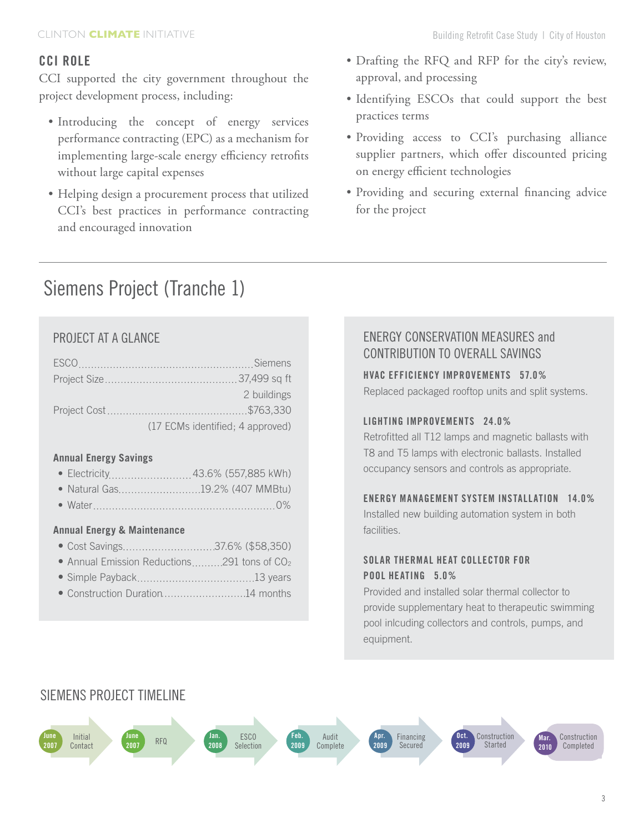# **CCI Role**

CCI supported the city government throughout the project development process, including:

- Introducing the concept of energy services performance contracting (EPC) as a mechanism for implementing large-scale energy efficiency retrofits without large capital expenses
- Helping design a procurement process that utilized CCI's best practices in performance contracting and encouraged innovation
- • Drafting the RFQ and RFP for the city's review, approval, and processing
- • Identifying ESCOs that could support the best practices terms
- • Providing access to CCI's purchasing alliance supplier partners, which offer discounted pricing on energy efficient technologies
- Providing and securing external financing advice for the project

# Siemens Project (Tranche 1)

# PROJECT AT A GLANCE

| 2 buildings                      |
|----------------------------------|
|                                  |
| (17 ECMs identified; 4 approved) |

## **Annual Energy Savings**

- • Electricity 43.6% (557,885 kWh)
- Natural Gas............................19.2% (407 MMBtu)
- • Water 0%

#### **Annual Energy & Maintenance**

- • Cost Savings 37.6% (\$58,350)
- Annual Emission Reductions..........291 tons of CO<sub>2</sub>
- • Simple Payback 13 years
- Construction Duration............................14 months

# ENERGY CONSERVATION MEASURES and CONTRIBUTION TO OVERALL SAVINGS

**HVAC EFFICIENCY IMPROVEMENTS 57.0%** Replaced packaged rooftop units and split systems.

## **LIGHTING IMPROVEMENTS 24.0%**

Retrofitted all T12 lamps and magnetic ballasts with T8 and T5 lamps with electronic ballasts. Installed occupancy sensors and controls as appropriate.

#### **energy management system installation 14.0%**

Installed new building automation system in both facilities.

## **Solar Thermal Heat collector for pool heating 5.0%**

Provided and installed solar thermal collector to provide supplementary heat to therapeutic swimming pool inlcuding collectors and controls, pumps, and equipment.

# Siemens Project Timeline

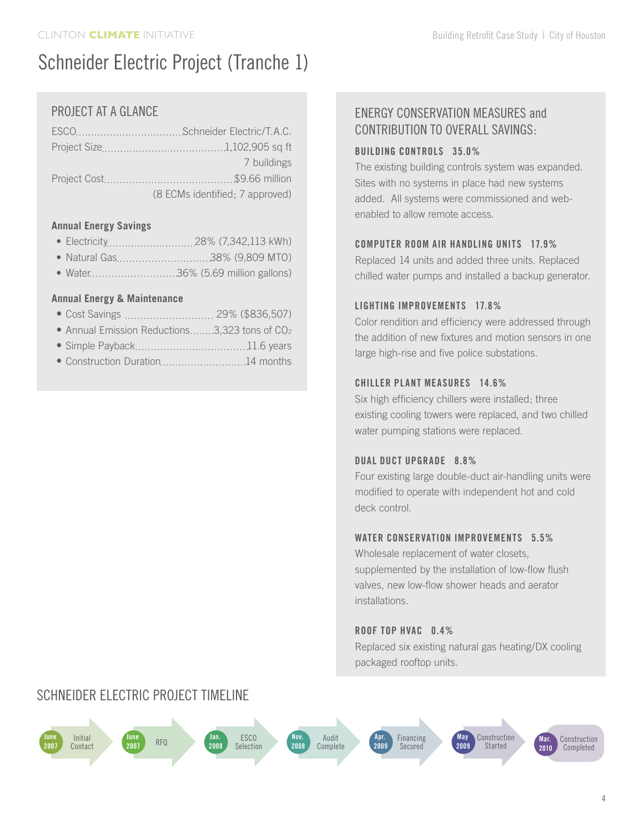# Schneider Electric Project (Tranche 1)

# PROJECT AT A GLANCE

| 7 buildings                     |
|---------------------------------|
|                                 |
| (8 ECMs identified; 7 approved) |

#### **Annual Energy Savings**

- • Electricity 28% (7,342,113 kWh)
- Natural Gas..................................38% (9,809 MTO)
- • Water 36% (5.69 million gallons)

### **Annual Energy & Maintenance**

- Cost Savings ................................ 29% (\$836,507)
- Annual Emission Reductions........3,323 tons of CO<sub>2</sub>
- • Simple Payback 11.6 years
- Construction Duration.............................14 months

Schneider Electric Project Timeline

# ENERGY CONSERVATION MEASURES and CONTRIBUTION TO OVERALL SAVINGS:

#### **BUILDING CONTROLS 35.0%**

The existing building controls system was expanded. Sites with no systems in place had new systems added. All systems were commissioned and webenabled to allow remote access.

## **COMPUTER ROOM AIR HANDLING UNITS 17.9%**

Replaced 14 units and added three units. Replaced chilled water pumps and installed a backup generator.

### **LIGHTING IMPROVEMENTS 17.8%**

Color rendition and efficiency were addressed through the addition of new fixtures and motion sensors in one large high-rise and five police substations.

### **chiller Plant Measures 14.6%**

Six high efficiency chillers were installed; three existing cooling towers were replaced, and two chilled water pumping stations were replaced.

#### **Dual duct upgrade 8.8%**

Four existing large double-duct air-handling units were modified to operate with independent hot and cold deck control.

#### **water conservation improvementS 5.5%**

Wholesale replacement of water closets, supplemented by the installation of low-flow flush valves, new low-flow shower heads and aerator installations.

### **roof top hvac 0.4%**

Replaced six existing natural gas heating/DX cooling packaged rooftop units.

#### **June 2007** Initial Contact **June <sup>2007</sup>** RFQ **Jan. 2008** ESCO Selection **Nov. 2008** Audit Complete **Apr. 2009** Financing Secured Construction Completed **Mar. 2010 May 2009** Construction Started